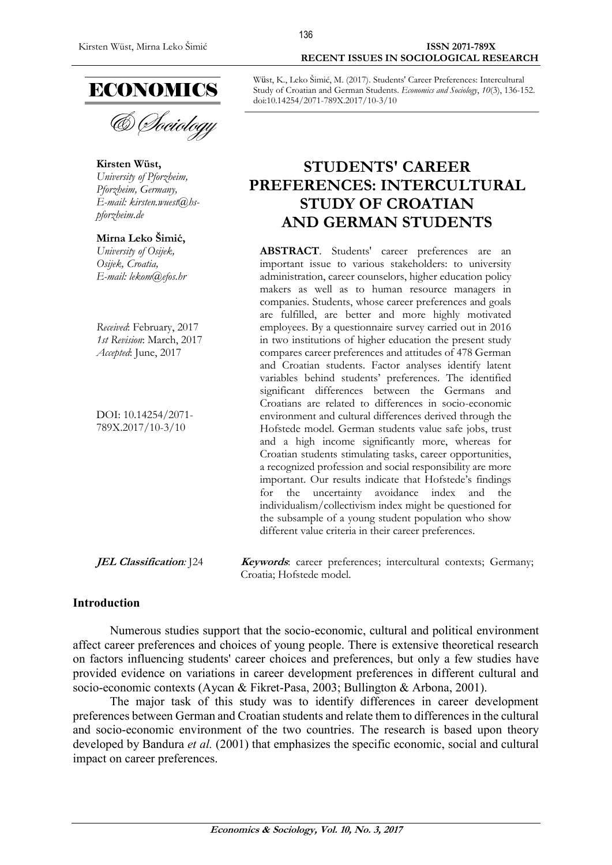#### Kirsten Wüst, Mirna Leko Šimić **ISSN 2071-789X RECENT ISSUES IN SOCIOLOGICAL RESEARCH**



& Sociology

**Kirsten Wüst,** *University of Pforzheim, Pforzheim, Germany, E-mail: [kirsten.wuest@hs](mailto:kirsten.wuest@hs-pforzheim.de)[pforzheim.de](mailto:kirsten.wuest@hs-pforzheim.de)*

#### **Mirna Leko Šimić,**

*University of Osijek, Osijek, Croatia, E-mail: lekom@efos.hr*

*Received*: February, 2017 *1st Revision*: March, 2017 *Accepted*: June, 2017

DOI: 10.14254/2071- 789X.2017/10-3/10

Wüst, K., Leko Šimić, M. (2017). Students' Career Preferences: Intercultural Study of Croatian and German Students. *Economics and Sociology*, *10*(3), 136-152. doi:10.14254/2071-789X.2017/10-3/10

# **STUDENTS' CAREER PREFERENCES: INTERCULTURAL STUDY OF CROATIAN AND GERMAN STUDENTS**

**ABSTRACT**. Students' career preferences are an important issue to various stakeholders: to university administration, career counselors, higher education policy makers as well as to human resource managers in companies. Students, whose career preferences and goals are fulfilled, are better and more highly motivated employees. By a questionnaire survey carried out in 2016 in two institutions of higher education the present study compares career preferences and attitudes of 478 German and Croatian students. Factor analyses identify latent variables behind students' preferences. The identified significant differences between the Germans and Croatians are related to differences in socio-economic environment and cultural differences derived through the Hofstede model. German students value safe jobs, trust and a high income significantly more, whereas for Croatian students stimulating tasks, career opportunities, a recognized profession and social responsibility are more important. Our results indicate that Hofstede's findings for the uncertainty avoidance index and the individualism/collectivism index might be questioned for the subsample of a young student population who show different value criteria in their career preferences.

**JEL Classification**: [24 **Keywords**: career preferences; intercultural contexts; Germany; Croatia; Hofstede model.

#### **Introduction**

Numerous studies support that the socio-economic, cultural and political environment affect career preferences and choices of young people. There is extensive theoretical research on factors influencing students' career choices and preferences, but only a few studies have provided evidence on variations in career development preferences in different cultural and socio-economic contexts (Aycan & Fikret-Pasa, 2003; Bullington & Arbona, 2001).

The major task of this study was to identify differences in career development preferences between German and Croatian students and relate them to differences in the cultural and socio-economic environment of the two countries. The research is based upon theory developed by Bandura *et al.* (2001) that emphasizes the specific economic, social and cultural impact on career preferences.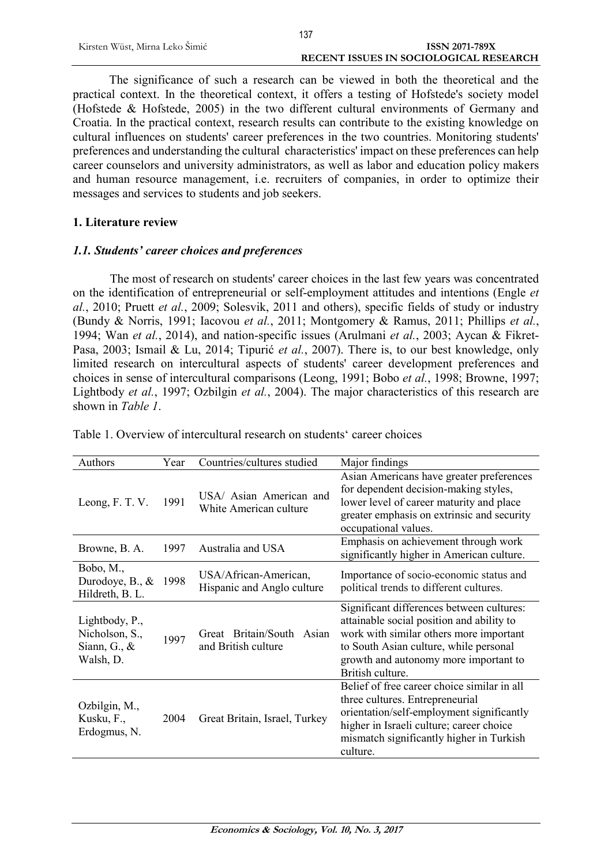The significance of such a research can be viewed in both the theoretical and the practical context. In the theoretical context, it offers a testing of Hofstede's society model (Hofstede & Hofstede, 2005) in the two different cultural environments of Germany and Croatia. In the practical context, research results can contribute to the existing knowledge on cultural influences on students' career preferences in the two countries. Monitoring students' preferences and understanding the cultural characteristics' impact on these preferences can help career counselors and university administrators, as well as labor and education policy makers and human resource management, i.e. recruiters of companies, in order to optimize their messages and services to students and job seekers.

## **1. Literature review**

## *1.1. Students' career choices and preferences*

The most of research on students' career choices in the last few years was concentrated on the identification of entrepreneurial or self-employment attitudes and intentions (Engle *et al.*, 2010; Pruett *et al.*, 2009; Solesvik, 2011 and others), specific fields of study or industry (Bundy & Norris, 1991; Iacovou *et al.*, 2011; Montgomery & Ramus, 2011; Phillips *et al.*, 1994; Wan *et al.*, 2014), and nation-specific issues (Arulmani *et al.*, 2003; Aycan & Fikret-Pasa, 2003; Ismail & Lu, 2014; Tipurić *et al.*, 2007). There is, to our best knowledge, only limited research on intercultural aspects of students' career development preferences and choices in sense of intercultural comparisons (Leong, 1991; Bobo *et al.*, 1998; Browne, 1997; Lightbody *et al.*, 1997; Ozbilgin *et al.*, 2004). The major characteristics of this research are shown in *Table 1*.

| Authors                                                          | Year | Countries/cultures studied                          | Major findings                                                                                                                                                                                                                           |
|------------------------------------------------------------------|------|-----------------------------------------------------|------------------------------------------------------------------------------------------------------------------------------------------------------------------------------------------------------------------------------------------|
| Leong, F. T. V.                                                  | 1991 | USA/ Asian American and<br>White American culture   | Asian Americans have greater preferences<br>for dependent decision-making styles,<br>lower level of career maturity and place<br>greater emphasis on extrinsic and security<br>occupational values.                                      |
| Browne, B. A.                                                    | 1997 | Australia and USA                                   | Emphasis on achievement through work<br>significantly higher in American culture.                                                                                                                                                        |
| Bobo, M.,<br>Durodoye, B., $\&$<br>Hildreth, B. L.               | 1998 | USA/African-American,<br>Hispanic and Anglo culture | Importance of socio-economic status and<br>political trends to different cultures.                                                                                                                                                       |
| Lightbody, P.,<br>Nicholson, S.,<br>Siann, G., $\&$<br>Walsh, D. | 1997 | Great Britain/South<br>Asian<br>and British culture | Significant differences between cultures:<br>attainable social position and ability to<br>work with similar others more important<br>to South Asian culture, while personal<br>growth and autonomy more important to<br>British culture. |
| Ozbilgin, M.,<br>Kusku, F.,<br>Erdogmus, N.                      | 2004 | Great Britain, Israel, Turkey                       | Belief of free career choice similar in all<br>three cultures. Entrepreneurial<br>orientation/self-employment significantly<br>higher in Israeli culture; career choice<br>mismatch significantly higher in Turkish<br>culture.          |

Table 1. Overview of intercultural research on students' career choices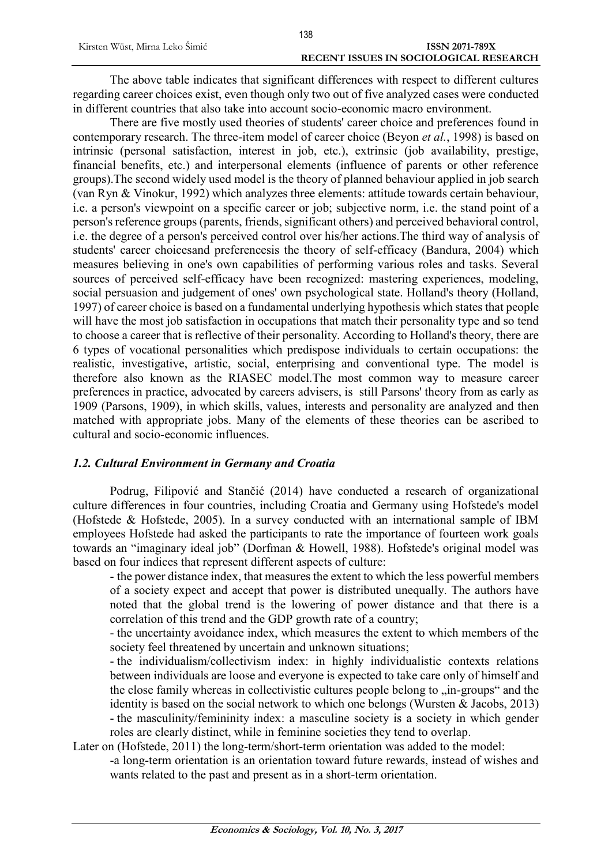The above table indicates that significant differences with respect to different cultures regarding career choices exist, even though only two out of five analyzed cases were conducted in different countries that also take into account socio-economic macro environment.

There are five mostly used theories of students' career choice and preferences found in contemporary research. The three-item model of career choice (Beyon *et al.*, 1998) is based on intrinsic (personal satisfaction, interest in job, etc.), extrinsic (job availability, prestige, financial benefits, etc.) and interpersonal elements (influence of parents or other reference groups).The second widely used model is the theory of planned behaviour applied in job search (van Ryn & Vinokur, 1992) which analyzes three elements: attitude towards certain behaviour, i.e. a person's viewpoint on a specific career or job; subjective norm, i.e. the stand point of a person's reference groups (parents, friends, significant others) and perceived behavioral control, i.e. the degree of a person's perceived control over his/her actions.The third way of analysis of students' career choicesand preferencesis the theory of self-efficacy (Bandura, 2004) which measures believing in one's own capabilities of performing various roles and tasks. Several sources of perceived self-efficacy have been recognized: mastering experiences, modeling, social persuasion and judgement of ones' own psychological state. Holland's theory (Holland, 1997) of career choice is based on a fundamental underlying hypothesis which states that people will have the most job satisfaction in occupations that match their personality type and so tend to choose a career that is reflective of their personality. According to Holland's theory, there are 6 types of vocational personalities which predispose individuals to certain occupations: the realistic, investigative, artistic, social, enterprising and conventional type. The model is therefore also known as the RIASEC model.The most common way to measure career preferences in practice, advocated by careers advisers, is still Parsons' theory from as early as 1909 (Parsons, 1909), in which skills, values, interests and personality are analyzed and then matched with appropriate jobs. Many of the elements of these theories can be ascribed to cultural and socio-economic influences.

## *1.2. Cultural Environment in Germany and Croatia*

Podrug, Filipović and Stančić (2014) have conducted a research of organizational culture differences in four countries, including Croatia and Germany using Hofstede's model (Hofstede & Hofstede, 2005). In a survey conducted with an international sample of IBM employees Hofstede had asked the participants to rate the importance of fourteen work goals towards an "imaginary ideal job" (Dorfman & Howell, 1988). Hofstede's original model was based on four indices that represent different aspects of culture:

- the power distance index, that measures the extent to which the less powerful members of a society expect and accept that power is distributed unequally. The authors have noted that the global trend is the lowering of power distance and that there is a correlation of this trend and the GDP growth rate of a country;

- the uncertainty avoidance index, which measures the extent to which members of the society feel threatened by uncertain and unknown situations;

- the individualism/collectivism index: in highly individualistic contexts relations between individuals are loose and everyone is expected to take care only of himself and the close family whereas in collectivistic cultures people belong to "in-groups" and the identity is based on the social network to which one belongs (Wursten & Jacobs, 2013) - the masculinity/femininity index: a masculine society is a society in which gender roles are clearly distinct, while in feminine societies they tend to overlap.

Later on (Hofstede, 2011) the long-term/short-term orientation was added to the model:

-a long-term orientation is an orientation toward future rewards, instead of wishes and wants related to the past and present as in a short-term orientation.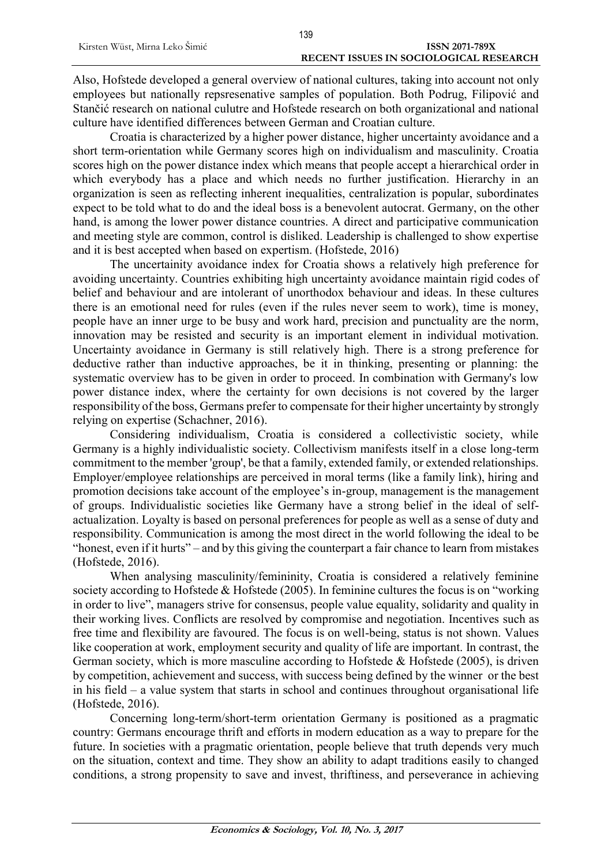Also, Hofstede developed a general overview of national cultures, taking into account not only employees but nationally repsresenative samples of population. Both Podrug, Filipović and Stančić research on national culutre and Hofstede research on both organizational and national culture have identified differences between German and Croatian culture.

Croatia is characterized by a higher power distance, higher uncertainty avoidance and a short term-orientation while Germany scores high on individualism and masculinity. Croatia scores high on the power distance index which means that people accept a hierarchical order in which everybody has a place and which needs no further justification. Hierarchy in an organization is seen as reflecting inherent inequalities, centralization is popular, subordinates expect to be told what to do and the ideal boss is a benevolent autocrat. Germany, on the other hand, is among the lower power distance countries. A direct and participative communication and meeting style are common, control is disliked. Leadership is challenged to show expertise and it is best accepted when based on expertism. (Hofstede, 2016)

The uncertainity avoidance index for Croatia shows a relatively high preference for avoiding uncertainty. Countries exhibiting high uncertainty avoidance maintain rigid codes of belief and behaviour and are intolerant of unorthodox behaviour and ideas. In these cultures there is an emotional need for rules (even if the rules never seem to work), time is money, people have an inner urge to be busy and work hard, precision and punctuality are the norm, innovation may be resisted and security is an important element in individual motivation. Uncertainty avoidance in Germany is still relatively high. There is a strong preference for deductive rather than inductive approaches, be it in thinking, presenting or planning: the systematic overview has to be given in order to proceed. In combination with Germany's low power distance index, where the certainty for own decisions is not covered by the larger responsibility of the boss, Germans prefer to compensate for their higher uncertainty by strongly relying on expertise (Schachner, 2016).

Considering individualism, Croatia is considered a collectivistic society, while Germany is a highly individualistic society. Collectivism manifests itself in a close long-term commitment to the member 'group', be that a family, extended family, or extended relationships. Employer/employee relationships are perceived in moral terms (like a family link), hiring and promotion decisions take account of the employee's in-group, management is the management of groups. Individualistic societies like Germany have a strong belief in the ideal of selfactualization. Loyalty is based on personal preferences for people as well as a sense of duty and responsibility. Communication is among the most direct in the world following the ideal to be "honest, even if it hurts" – and by this giving the counterpart a fair chance to learn from mistakes (Hofstede, 2016).

When analysing masculinity/femininity, Croatia is considered a relatively feminine society according to Hofstede & Hofstede (2005). In feminine cultures the focus is on "working" in order to live", managers strive for consensus, people value equality, solidarity and quality in their working lives. Conflicts are resolved by compromise and negotiation. Incentives such as free time and flexibility are favoured. The focus is on well-being, status is not shown. Values like cooperation at work, employment security and quality of life are important. In contrast, the German society, which is more masculine according to Hofstede  $&$  Hofstede (2005), is driven by competition, achievement and success, with success being defined by the winner or the best in his field – a value system that starts in school and continues throughout organisational life (Hofstede, 2016).

Concerning long-term/short-term orientation Germany is positioned as a pragmatic country: Germans encourage thrift and efforts in modern education as a way to prepare for the future. In societies with a pragmatic orientation, people believe that truth depends very much on the situation, context and time. They show an ability to adapt traditions easily to changed conditions, a strong propensity to save and invest, thriftiness, and perseverance in achieving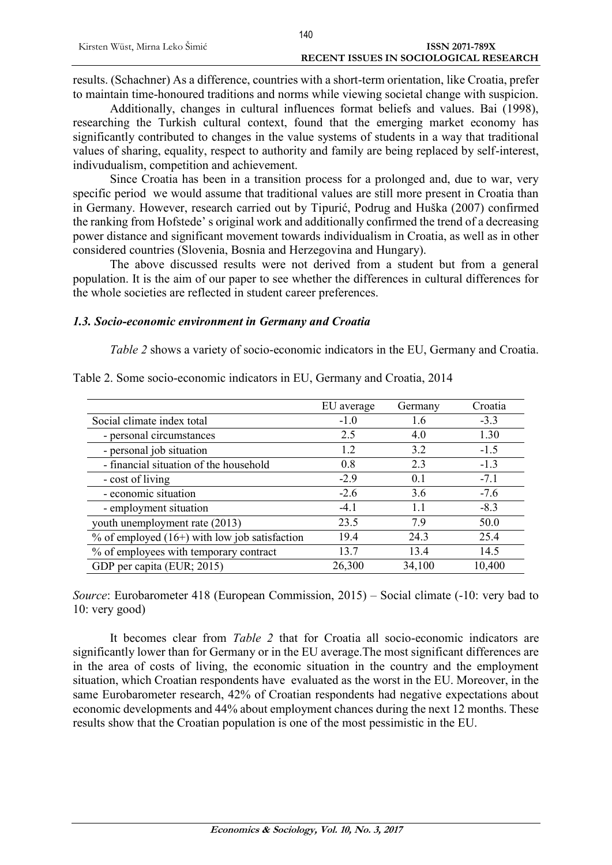results. (Schachner) As a difference, countries with a short-term orientation, like Croatia, prefer to maintain time-honoured traditions and norms while viewing societal change with suspicion.

Additionally, changes in cultural influences format beliefs and values. Bai (1998), researching the Turkish cultural context, found that the emerging market economy has significantly contributed to changes in the value systems of students in a way that traditional values of sharing, equality, respect to authority and family are being replaced by self-interest, indivudualism, competition and achievement.

Since Croatia has been in a transition process for a prolonged and, due to war, very specific period we would assume that traditional values are still more present in Croatia than in Germany. However, research carried out by Tipurić, Podrug and Huška (2007) confirmed the ranking from Hofstede' s original work and additionally confirmed the trend of a decreasing power distance and significant movement towards individualism in Croatia, as well as in other considered countries (Slovenia, Bosnia and Herzegovina and Hungary).

The above discussed results were not derived from a student but from a general population. It is the aim of our paper to see whether the differences in cultural differences for the whole societies are reflected in student career preferences.

#### *1.3. Socio-economic environment in Germany and Croatia*

*Table 2* shows a variety of socio-economic indicators in the EU, Germany and Croatia.

|                                                 | EU average | Germany | Croatia |
|-------------------------------------------------|------------|---------|---------|
| Social climate index total                      | $-1.0$     | 1.6     | $-3.3$  |
| - personal circumstances                        | 2.5        | 4.0     | 1.30    |
| - personal job situation                        | 1.2        | 3.2     | $-1.5$  |
| - financial situation of the household          | 0.8        | 23      | $-1.3$  |
| - cost of living                                | $-2.9$     | 0.1     | $-7.1$  |
| - economic situation                            | $-2.6$     | 3.6     | $-7.6$  |
| - employment situation                          | $-4.1$     | 1.1     | $-8.3$  |
| youth unemployment rate (2013)                  | 23.5       | 79      | 50.0    |
| $%$ of employed (16+) with low job satisfaction | 19.4       | 24.3    | 25.4    |
| % of employees with temporary contract          | 13.7       | 13.4    | 14.5    |
| GDP per capita (EUR; 2015)                      | 26,300     | 34,100  | 10,400  |

Table 2. Some socio-economic indicators in EU, Germany and Croatia, 2014

*Source*: Eurobarometer 418 (European Commission, 2015) – Social climate (-10: very bad to 10: very good)

It becomes clear from *Table 2* that for Croatia all socio-economic indicators are significantly lower than for Germany or in the EU average.The most significant differences are in the area of costs of living, the economic situation in the country and the employment situation, which Croatian respondents have evaluated as the worst in the EU. Moreover, in the same Eurobarometer research, 42% of Croatian respondents had negative expectations about economic developments and 44% about employment chances during the next 12 months. These results show that the Croatian population is one of the most pessimistic in the EU.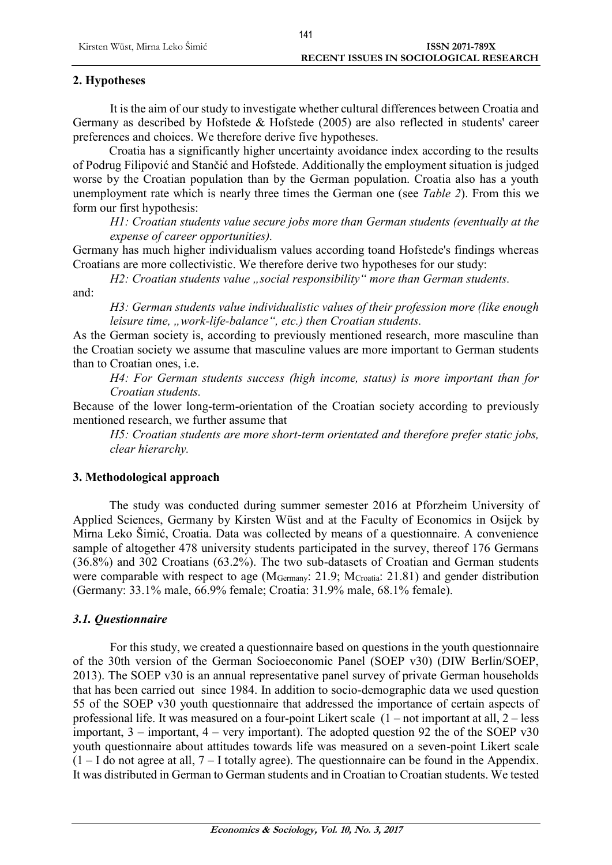## **2. Hypotheses**

It is the aim of our study to investigate whether cultural differences between Croatia and Germany as described by Hofstede & Hofstede (2005) are also reflected in students' career preferences and choices. We therefore derive five hypotheses.

Croatia has a significantly higher uncertainty avoidance index according to the results of Podrug Filipović and Stančić and Hofstede. Additionally the employment situation is judged worse by the Croatian population than by the German population. Croatia also has a youth unemployment rate which is nearly three times the German one (see *Table 2*). From this we form our first hypothesis:

*H1: Croatian students value secure jobs more than German students (eventually at the expense of career opportunities).*

Germany has much higher individualism values according toand Hofstede's findings whereas Croatians are more collectivistic. We therefore derive two hypotheses for our study:

*H2: Croatian students value ..social responsibility* "*more than German students.* 

and:

*H3: German students value individualistic values of their profession more (like enough leisure time, "work-life-balance", etc.) then Croatian students.*

As the German society is, according to previously mentioned research, more masculine than the Croatian society we assume that masculine values are more important to German students than to Croatian ones, i.e.

*H4: For German students success (high income, status) is more important than for Croatian students.*

Because of the lower long-term-orientation of the Croatian society according to previously mentioned research, we further assume that

*H5: Croatian students are more short-term orientated and therefore prefer static jobs, clear hierarchy.*

## **3. Methodological approach**

The study was conducted during summer semester 2016 at Pforzheim University of Applied Sciences, Germany by Kirsten Wüst and at the Faculty of Economics in Osijek by Mirna Leko Šimić, Croatia. Data was collected by means of a questionnaire. A convenience sample of altogether 478 university students participated in the survey, thereof 176 Germans (36.8%) and 302 Croatians (63.2%). The two sub-datasets of Croatian and German students were comparable with respect to age (M<sub>Germany</sub>: 21.9; M<sub>Croatia</sub>: 21.81) and gender distribution (Germany: 33.1% male, 66.9% female; Croatia: 31.9% male, 68.1% female).

## *3.1. Questionnaire*

For this study, we created a questionnaire based on questions in the youth questionnaire of the 30th version of the German Socioeconomic Panel (SOEP v30) (DIW Berlin/SOEP, 2013). The SOEP v30 is an annual representative panel survey of private German households that has been carried out since 1984. In addition to socio-demographic data we used question 55 of the SOEP v30 youth questionnaire that addressed the importance of certain aspects of professional life. It was measured on a four-point Likert scale (1 – not important at all, 2 – less important,  $3$  – important,  $4$  – very important). The adopted question 92 the of the SOEP v30 youth questionnaire about attitudes towards life was measured on a seven-point Likert scale  $(1 - I$  do not agree at all,  $7 - I$  totally agree). The questionnaire can be found in the Appendix. It was distributed in German to German students and in Croatian to Croatian students. We tested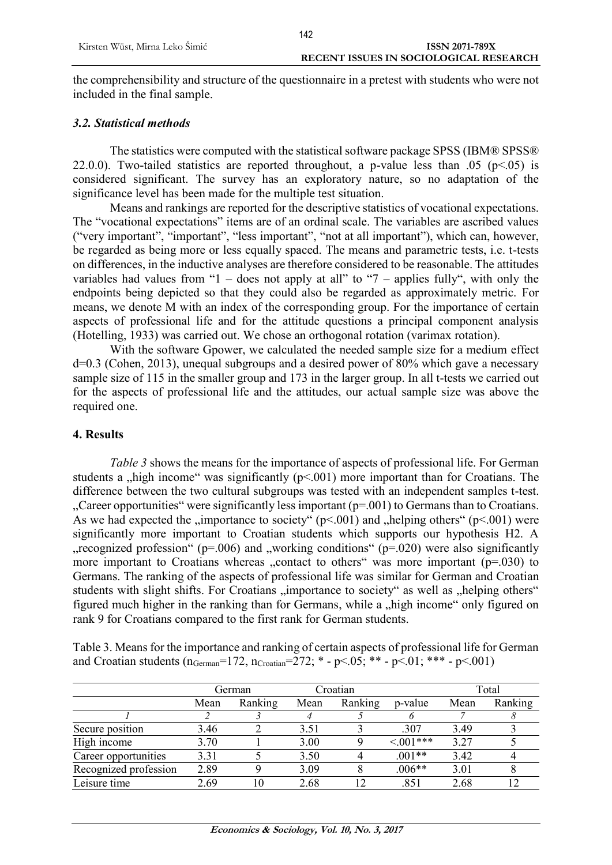the comprehensibility and structure of the questionnaire in a pretest with students who were not included in the final sample.

#### *3.2. Statistical methods*

The statistics were computed with the statistical software package SPSS (IBM® SPSS® 22.0.0). Two-tailed statistics are reported throughout, a p-value less than .05 ( $p<05$ ) is considered significant. The survey has an exploratory nature, so no adaptation of the significance level has been made for the multiple test situation.

Means and rankings are reported for the descriptive statistics of vocational expectations. The "vocational expectations" items are of an ordinal scale. The variables are ascribed values ("very important", "important", "less important", "not at all important"), which can, however, be regarded as being more or less equally spaced. The means and parametric tests, i.e. t-tests on differences, in the inductive analyses are therefore considered to be reasonable. The attitudes variables had values from "1 – does not apply at all" to "7 – applies fully", with only the endpoints being depicted so that they could also be regarded as approximately metric. For means, we denote M with an index of the corresponding group. For the importance of certain aspects of professional life and for the attitude questions a principal component analysis (Hotelling, 1933) was carried out. We chose an orthogonal rotation (varimax rotation).

With the software Gpower, we calculated the needed sample size for a medium effect d=0.3 (Cohen, 2013), unequal subgroups and a desired power of 80% which gave a necessary sample size of 115 in the smaller group and 173 in the larger group. In all t-tests we carried out for the aspects of professional life and the attitudes, our actual sample size was above the required one.

#### **4. Results**

*Table 3* shows the means for the importance of aspects of professional life. For German students a "high income" was significantly  $(p<.001)$  more important than for Croatians. The difference between the two cultural subgroups was tested with an independent samples t-test. "Career opportunities" were significantly less important (p=.001) to Germans than to Croatians. As we had expected the "importance to society"  $(p<.001)$  and "helping others"  $(p<.001)$  were significantly more important to Croatian students which supports our hypothesis H2. A ", recognized profession" ( $p=0.006$ ) and "working conditions" ( $p=0.020$ ) were also significantly more important to Croatians whereas ...contact to others was more important  $(p=0.030)$  to Germans. The ranking of the aspects of professional life was similar for German and Croatian students with slight shifts. For Croatians "importance to society" as well as "helping others" figured much higher in the ranking than for Germans, while a "high income" only figured on rank 9 for Croatians compared to the first rank for German students.

| Table 3. Means for the importance and ranking of certain aspects of professional life for German                                   |  |
|------------------------------------------------------------------------------------------------------------------------------------|--|
| and Croatian students ( $n_{\text{German}} = 172$ , $n_{\text{Croatian}} = 272$ ; * - $p < 05$ ; ** - $p < 01$ ; *** - $p < 001$ ) |  |

|                       | German |         | Croatian |         |            | Total |         |  |
|-----------------------|--------|---------|----------|---------|------------|-------|---------|--|
|                       | Mean   | Ranking | Mean     | Ranking | p-value    | Mean  | Ranking |  |
|                       |        |         |          |         |            |       |         |  |
| Secure position       | 3.46   |         | 3.51     |         | .307       | 3.49  |         |  |
| High income           | 3.70   |         | 3.00     |         | $< 001***$ | 3.27  |         |  |
| Career opportunities  | 3.31   |         | 3.50     |         | $.001**$   | 3.42  |         |  |
| Recognized profession | 2.89   |         | 3.09     |         | $.006**$   | 3.01  |         |  |
| Leisure time          | 2.69   | 10      | 2.68     |         | .851       | 2.68  |         |  |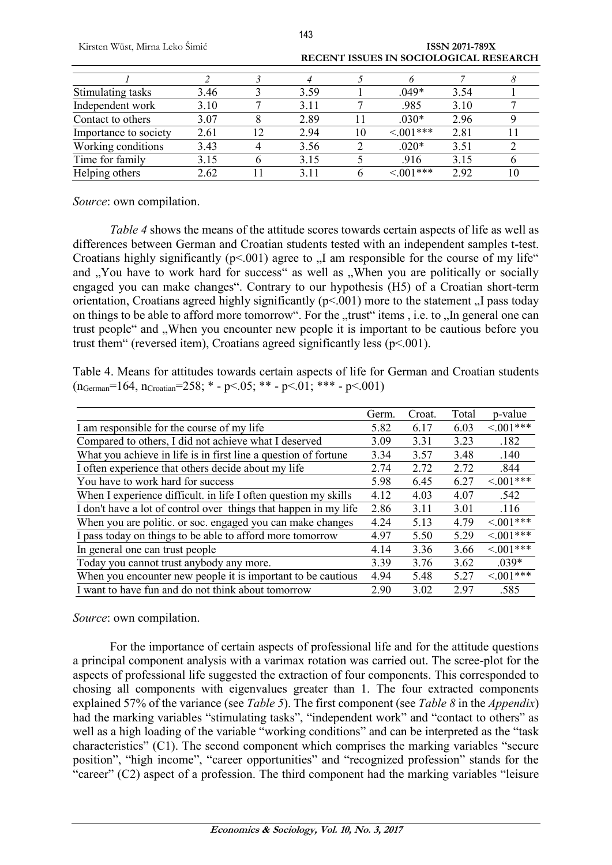|                       |      |    |      |    | RECEIVE 1990 E9 IIV SOCIOLOGICAL RESEARCH |      |  |
|-----------------------|------|----|------|----|-------------------------------------------|------|--|
|                       |      |    |      |    |                                           |      |  |
| Stimulating tasks     | 3.46 |    | 3.59 |    | .049*                                     | 3.54 |  |
| Independent work      | 3.10 |    | 3.11 |    | .985                                      | 3.10 |  |
| Contact to others     | 3.07 |    | 2.89 |    | $.030*$                                   | 2.96 |  |
| Importance to society | 2.61 | 12 | 2.94 | 10 | $< 001***$                                | 2.81 |  |
| Working conditions    | 3.43 |    | 3.56 |    | $.020*$                                   | 3.51 |  |
| Time for family       | 3.15 |    | 3.15 |    | .916                                      | 3.15 |  |
| Helping others        | 2.62 |    | 3.11 |    | $< 001***$                                | 2.92 |  |

143

Kirsten Wüst, Mirna Leko Šimić **ISSN 2071-789X RECENT ISSUES IN SOCIOLOGICAL RESEARCH**

*Source*: own compilation.

*Table 4* shows the means of the attitude scores towards certain aspects of life as well as differences between German and Croatian students tested with an independent samples t-test. Croatians highly significantly ( $p<001$ ) agree to  $\Lambda$  am responsible for the course of my life" and "You have to work hard for success" as well as "When you are politically or socially engaged you can make changes". Contrary to our hypothesis (H5) of a Croatian short-term orientation, Croatians agreed highly significantly  $(p<0.01)$  more to the statement  $\alpha$ . I pass today on things to be able to afford more tomorrow". For the "trust" items, i.e. to "In general one can trust people" and "When you encounter new people it is important to be cautious before you trust them" (reversed item), Croatians agreed significantly less (p<.001).

Table 4. Means for attitudes towards certain aspects of life for German and Croatian students  $(n_{German} = 164, n_{Croatian} = 258; * - p < .05; ** - p < .01; ** - p < .001)$ 

|                                                                  | Germ. | Croat. | Total | p-value        |
|------------------------------------------------------------------|-------|--------|-------|----------------|
| I am responsible for the course of my life                       | 5.82  | 6.17   | 6.03  | $< 0.01***$    |
| Compared to others, I did not achieve what I deserved            | 3.09  | 3.31   | 3.23  | .182           |
| What you achieve in life is in first line a question of fortune  | 3.34  | 3.57   | 3.48  | .140           |
| I often experience that others decide about my life              | 2.74  | 2.72   | 2.72  | .844           |
| You have to work hard for success                                | 5.98  | 6.45   | 6.27  | $< 0.01***$    |
| When I experience difficult. in life I often question my skills  | 4.12  | 4.03   | 4.07  | .542           |
| I don't have a lot of control over things that happen in my life | 2.86  | 3.11   | 3.01  | .116           |
| When you are politic. or soc. engaged you can make changes       | 4.24  | 5.13   | 4.79  | $\leq 0.01***$ |
| I pass today on things to be able to afford more tomorrow        | 4.97  | 5.50   | 5.29  | $\leq 0.01***$ |
| In general one can trust people                                  | 4.14  | 3.36   | 3.66  | $< 0.01***$    |
| Today you cannot trust anybody any more.                         | 3.39  | 3.76   | 3.62  | $.039*$        |
| When you encounter new people it is important to be cautious     | 4.94  | 5.48   | 5.27  | $< 001***$     |
| I want to have fun and do not think about tomorrow               | 2.90  | 3.02   | 297   | .585           |

#### *Source*: own compilation.

For the importance of certain aspects of professional life and for the attitude questions a principal component analysis with a varimax rotation was carried out. The scree-plot for the aspects of professional life suggested the extraction of four components. This corresponded to chosing all components with eigenvalues greater than 1. The four extracted components explained 57% of the variance (see *Table 5*). The first component (see *Table 8* in the *Appendix*) had the marking variables "stimulating tasks", "independent work" and "contact to others" as well as a high loading of the variable "working conditions" and can be interpreted as the "task characteristics" (C1). The second component which comprises the marking variables "secure position", "high income", "career opportunities" and "recognized profession" stands for the "career" (C2) aspect of a profession. The third component had the marking variables "leisure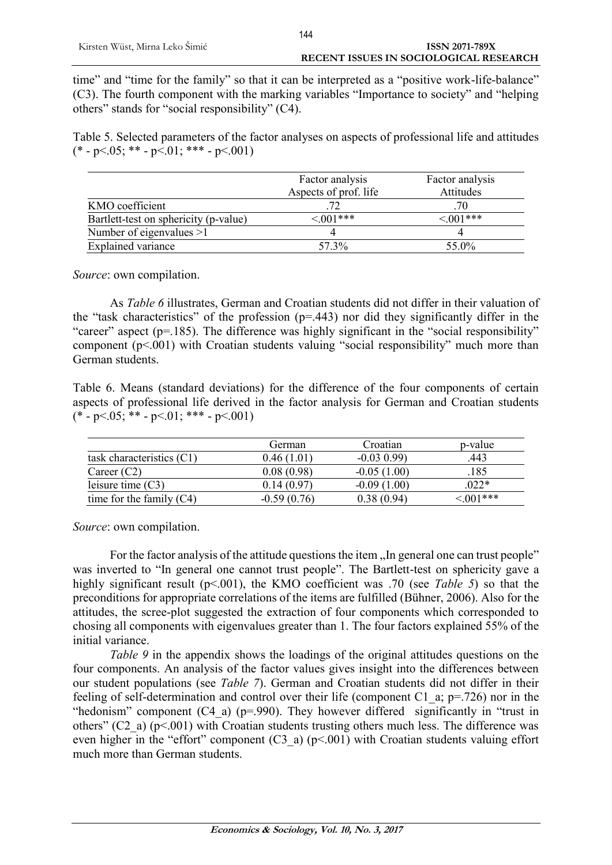time" and "time for the family" so that it can be interpreted as a "positive work-life-balance" (C3). The fourth component with the marking variables "Importance to society" and "helping others" stands for "social responsibility" (C4).

Table 5. Selected parameters of the factor analyses on aspects of professional life and attitudes  $(* -p < 05; ** -p < 01; *** -p < 001)$ 

|                                       | Factor analysis       | Factor analysis |
|---------------------------------------|-----------------------|-----------------|
|                                       | Aspects of prof. life | Attitudes       |
| KMO coefficient                       |                       | .70             |
| Bartlett-test on sphericity (p-value) | $\leq 0.01***$        | $<001***$       |
| Number of eigenvalues $>1$            |                       |                 |
| <b>Explained variance</b>             | 57.3%                 | 55.0%           |

*Source*: own compilation.

As *Table 6* illustrates, German and Croatian students did not differ in their valuation of the "task characteristics" of the profession (p=.443) nor did they significantly differ in the "career" aspect (p=.185). The difference was highly significant in the "social responsibility" component  $(p<.001)$  with Croatian students valuing "social responsibility" much more than German students.

Table 6. Means (standard deviations) for the difference of the four components of certain aspects of professional life derived in the factor analysis for German and Croatian students  $(* -p < 05; ** -p < 01; *** -p < 001)$ 

|                             | German        | Croatian       | p-value       |
|-----------------------------|---------------|----------------|---------------|
| task characteristics $(C1)$ | 0.46 (1.01`   | $-0.03$ $0.99$ | 443           |
| Career $(C2)$               | 0.08(0.98)    | $-0.05(1.00)$  | .185          |
| leisure time $(C3)$         | 0.14 (0.97)   | $-0.09(1.00)$  | $022*$        |
| time for the family $(C4)$  | $-0.59(0.76)$ | 0.38(0.94)     | $\leq 001***$ |

*Source*: own compilation.

For the factor analysis of the attitude questions the item . In general one can trust people" was inverted to "In general one cannot trust people". The Bartlett-test on sphericity gave a highly significant result (p<.001), the KMO coefficient was .70 (see *Table* 5) so that the preconditions for appropriate correlations of the items are fulfilled (Bühner, 2006). Also for the attitudes, the scree-plot suggested the extraction of four components which corresponded to chosing all components with eigenvalues greater than 1. The four factors explained 55% of the initial variance.

*Table 9* in the appendix shows the loadings of the original attitudes questions on the four components. An analysis of the factor values gives insight into the differences between our student populations (see *Table 7*). German and Croatian students did not differ in their feeling of self-determination and control over their life (component C1  $\alpha$ ; p=.726) nor in the "hedonism" component  $(C4 \text{ a})$  (p=.990). They however differed significantly in "trust in others" (C2\_a) ( $p$ <.001) with Croatian students trusting others much less. The difference was even higher in the "effort" component (C3\_a) (p<.001) with Croatian students valuing effort much more than German students.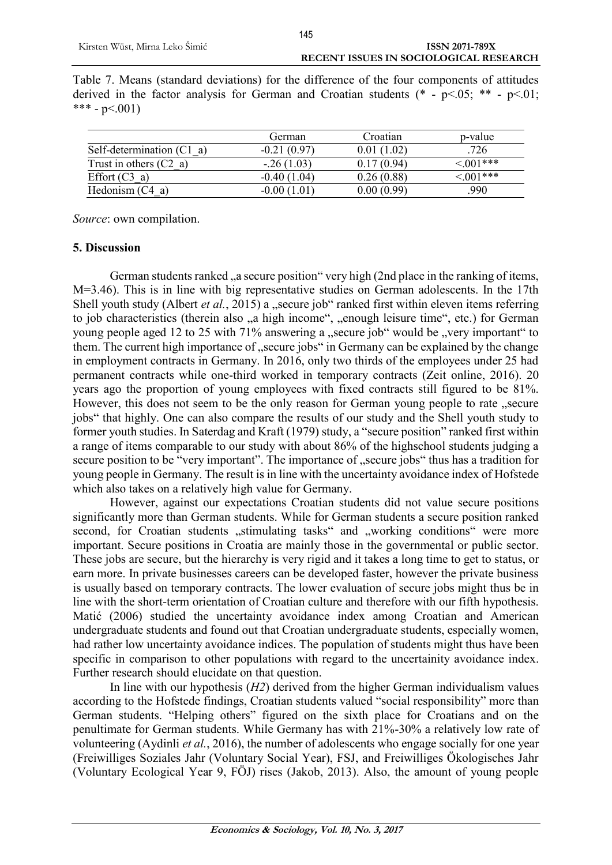| Table 7. Means (standard deviations) for the difference of the four components of attitudes |  |  |  |  |  |  |  |
|---------------------------------------------------------------------------------------------|--|--|--|--|--|--|--|
| derived in the factor analysis for German and Croatian students $(* -p<0.05; ** -p<0.01;$   |  |  |  |  |  |  |  |
| *** - p<.001)                                                                               |  |  |  |  |  |  |  |

|                                     | German        | Croatian   | p-value        |
|-------------------------------------|---------------|------------|----------------|
| Self-determination $(C1 \text{ a})$ | $-0.21(0.97)$ | 0.01(1.02) | .726           |
| Trust in others $(C2 \text{ a})$    | $-26(1.03)$   | 0.17(0.94) | $< 0.01$ ***   |
| Effort $(C3 \text{ a})$             | $-0.40(1.04)$ | 0.26(0.88) | $\leq 0.01***$ |
| Hedonism $(C4 a)$                   | $-0.00(1.01)$ | 0.00(0.99) | 990            |

*Source*: own compilation.

#### **5. Discussion**

German students ranked a secure position "very high (2nd place in the ranking of items, M=3.46). This is in line with big representative studies on German adolescents. In the 17th Shell youth study (Albert *et al.*, 2015) a "secure job" ranked first within eleven items referring to job characteristics (therein also "a high income", "enough leisure time", etc.) for German young people aged 12 to 25 with 71% answering a "secure job" would be "very important" to them. The current high importance of "secure jobs" in Germany can be explained by the change in employment contracts in Germany. In 2016, only two thirds of the employees under 25 had permanent contracts while one-third worked in temporary contracts (Zeit online, 2016). 20 years ago the proportion of young employees with fixed contracts still figured to be 81%. However, this does not seem to be the only reason for German young people to rate "secure jobs" that highly. One can also compare the results of our study and the Shell youth study to former youth studies. In Saterdag and Kraft (1979) study, a "secure position" ranked first within a range of items comparable to our study with about 86% of the highschool students judging a secure position to be "very important". The importance of "secure jobs" thus has a tradition for young people in Germany. The result is in line with the uncertainty avoidance index of Hofstede which also takes on a relatively high value for Germany.

However, against our expectations Croatian students did not value secure positions significantly more than German students. While for German students a secure position ranked second, for Croatian students "stimulating tasks" and "working conditions" were more important. Secure positions in Croatia are mainly those in the governmental or public sector. These jobs are secure, but the hierarchy is very rigid and it takes a long time to get to status, or earn more. In private businesses careers can be developed faster, however the private business is usually based on temporary contracts. The lower evaluation of secure jobs might thus be in line with the short-term orientation of Croatian culture and therefore with our fifth hypothesis. Matić (2006) studied the uncertainty avoidance index among Croatian and American undergraduate students and found out that Croatian undergraduate students, especially women, had rather low uncertainty avoidance indices. The population of students might thus have been specific in comparison to other populations with regard to the uncertainity avoidance index. Further research should elucidate on that question.

In line with our hypothesis (*H2*) derived from the higher German individualism values according to the Hofstede findings, Croatian students valued "social responsibility" more than German students. "Helping others" figured on the sixth place for Croatians and on the penultimate for German students. While Germany has with 21%-30% a relatively low rate of volunteering (Aydinli *et al.*, 2016), the number of adolescents who engage socially for one year (Freiwilliges Soziales Jahr (Voluntary Social Year), FSJ, and Freiwilliges Ökologisches Jahr (Voluntary Ecological Year 9, FÖJ) rises (Jakob, 2013). Also, the amount of young people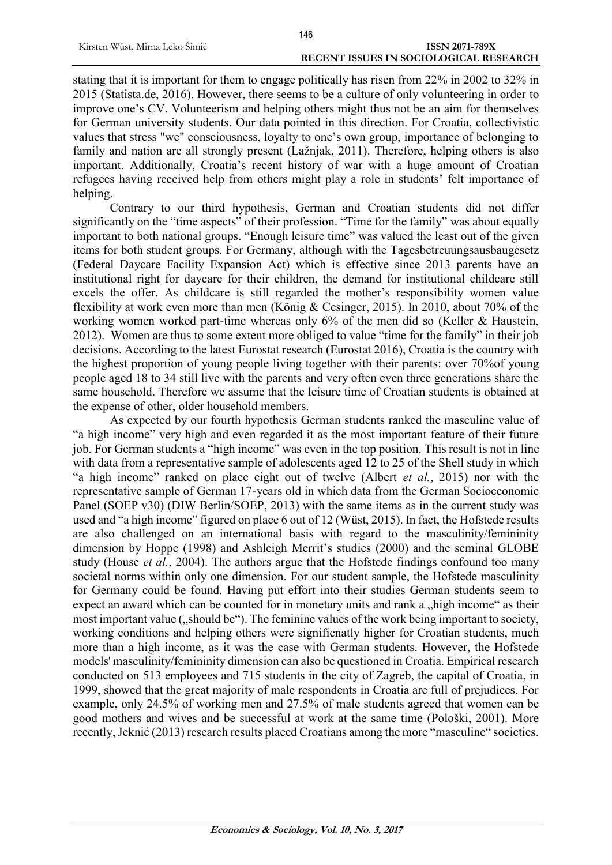stating that it is important for them to engage politically has risen from 22% in 2002 to 32% in 2015 (Statista.de, 2016). However, there seems to be a culture of only volunteering in order to improve one's CV. Volunteerism and helping others might thus not be an aim for themselves for German university students. Our data pointed in this direction. For Croatia, collectivistic values that stress "we" consciousness, loyalty to one's own group, importance of belonging to family and nation are all strongly present (Lažnjak, 2011). Therefore, helping others is also important. Additionally, Croatia's recent history of war with a huge amount of Croatian refugees having received help from others might play a role in students' felt importance of helping.

Contrary to our third hypothesis, German and Croatian students did not differ significantly on the "time aspects" of their profession. "Time for the family" was about equally important to both national groups. "Enough leisure time" was valued the least out of the given items for both student groups. For Germany, although with the Tagesbetreuungsausbaugesetz (Federal Daycare Facility Expansion Act) which is effective since 2013 parents have an institutional right for daycare for their children, the demand for institutional childcare still excels the offer. As childcare is still regarded the mother's responsibility women value flexibility at work even more than men (König & Cesinger, 2015). In 2010, about 70% of the working women worked part-time whereas only 6% of the men did so (Keller & Haustein, 2012). Women are thus to some extent more obliged to value "time for the family" in their job decisions. According to the latest Eurostat research (Eurostat 2016), Croatia is the country with the highest proportion of young people living together with their parents: over 70%of young people aged 18 to 34 still live with the parents and very often even three generations share the same household. Therefore we assume that the leisure time of Croatian students is obtained at the expense of other, older household members.

As expected by our fourth hypothesis German students ranked the masculine value of "a high income" very high and even regarded it as the most important feature of their future job. For German students a "high income" was even in the top position. This result is not in line with data from a representative sample of adolescents aged 12 to 25 of the Shell study in which "a high income" ranked on place eight out of twelve (Albert *et al.*, 2015) nor with the representative sample of German 17-years old in which data from the German Socioeconomic Panel (SOEP v30) (DIW Berlin/SOEP, 2013) with the same items as in the current study was used and "a high income" figured on place 6 out of 12 (Wüst, 2015). In fact, the Hofstede results are also challenged on an international basis with regard to the masculinity/femininity dimension by Hoppe (1998) and Ashleigh Merrit's studies (2000) and the seminal GLOBE study (House *et al.*, 2004). The authors argue that the Hofstede findings confound too many societal norms within only one dimension. For our student sample, the Hofstede masculinity for Germany could be found. Having put effort into their studies German students seem to expect an award which can be counted for in monetary units and rank a "high income" as their most important value ("should be"). The feminine values of the work being important to society, working conditions and helping others were significnatly higher for Croatian students, much more than a high income, as it was the case with German students. However, the Hofstede models' masculinity/femininity dimension can also be questioned in Croatia. Empirical research conducted on 513 employees and 715 students in the city of Zagreb, the capital of Croatia, in 1999, showed that the great majority of male respondents in Croatia are full of prejudices. For example, only 24.5% of working men and 27.5% of male students agreed that women can be good mothers and wives and be successful at work at the same time (Pološki, 2001). More recently, Jeknić (2013) research results placed Croatians among the more "masculine" societies.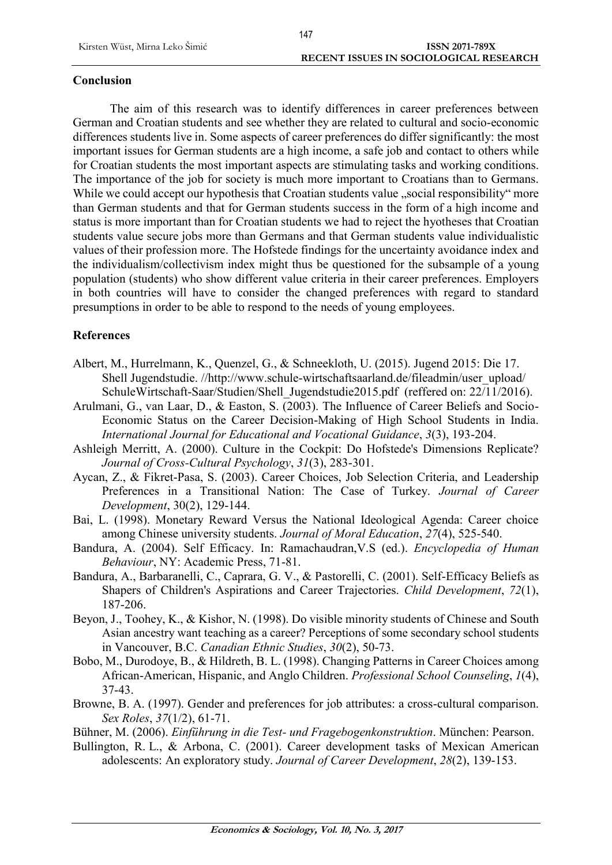## **Conclusion**

The aim of this research was to identify differences in career preferences between German and Croatian students and see whether they are related to cultural and socio-economic differences students live in. Some aspects of career preferences do differ significantly: the most important issues for German students are a high income, a safe job and contact to others while for Croatian students the most important aspects are stimulating tasks and working conditions. The importance of the job for society is much more important to Croatians than to Germans. While we could accept our hypothesis that Croatian students value "social responsibility" more than German students and that for German students success in the form of a high income and status is more important than for Croatian students we had to reject the hyotheses that Croatian students value secure jobs more than Germans and that German students value individualistic values of their profession more. The Hofstede findings for the uncertainty avoidance index and the individualism/collectivism index might thus be questioned for the subsample of a young population (students) who show different value criteria in their career preferences. Employers in both countries will have to consider the changed preferences with regard to standard presumptions in order to be able to respond to the needs of young employees.

## **References**

- Albert, M., Hurrelmann, K., Quenzel, G., & Schneekloth, U. (2015). Jugend 2015: Die 17. Shell Jugendstudie. //http://www.schule-wirtschaftsaarland.de/fileadmin/user\_upload/ SchuleWirtschaft-Saar/Studien/Shell\_Jugendstudie2015.pdf (reffered on: 22/11/2016).
- Arulmani, G., van Laar, D., & Easton, S. (2003). The Influence of Career Beliefs and Socio-Economic Status on the Career Decision-Making of High School Students in India. *International Journal for Educational and Vocational Guidance*, *3*(3), 193-204.
- Ashleigh Merritt, A. (2000). Culture in the Cockpit: Do Hofstede's Dimensions Replicate? *Journal of Cross-Cultural Psychology*, *31*(3), 283-301.
- Aycan, Z., & Fikret-Pasa, S. (2003). Career Choices, Job Selection Criteria, and Leadership Preferences in a Transitional Nation: The Case of Turkey. *Journal of Career Development*, 30(2), 129-144.
- Bai, L. (1998). Monetary Reward Versus the National Ideological Agenda: Career choice among Chinese university students. *Journal of Moral Education*, *27*(4), 525-540.
- Bandura, A. (2004). Self Efficacy. In: Ramachaudran,V.S (ed.). *Encyclopedia of Human Behaviour*, NY: Academic Press, 71-81.
- Bandura, A., Barbaranelli, C., Caprara, G. V., & Pastorelli, C. (2001). Self-Efficacy Beliefs as Shapers of Children's Aspirations and Career Trajectories. *Child Development*, *72*(1), 187-206.
- Beyon, J., Toohey, K., & Kishor, N. (1998). Do visible minority students of Chinese and South Asian ancestry want teaching as a career? Perceptions of some secondary school students in Vancouver, B.C. *Canadian Ethnic Studies*, *30*(2), 50-73.
- Bobo, M., Durodoye, B., & Hildreth, B. L. (1998). Changing Patterns in Career Choices among African-American, Hispanic, and Anglo Children. *Professional School Counseling*, *1*(4), 37-43.
- Browne, B. A. (1997). Gender and preferences for job attributes: a cross-cultural comparison. *Sex Roles*, *37*(1/2), 61-71.
- Bühner, M. (2006). *Einführung in die Test- und Fragebogenkonstruktion*. München: Pearson.
- Bullington, R. L., & Arbona, C. (2001). Career development tasks of Mexican American adolescents: An exploratory study. *Journal of Career Development*, *28*(2), 139-153.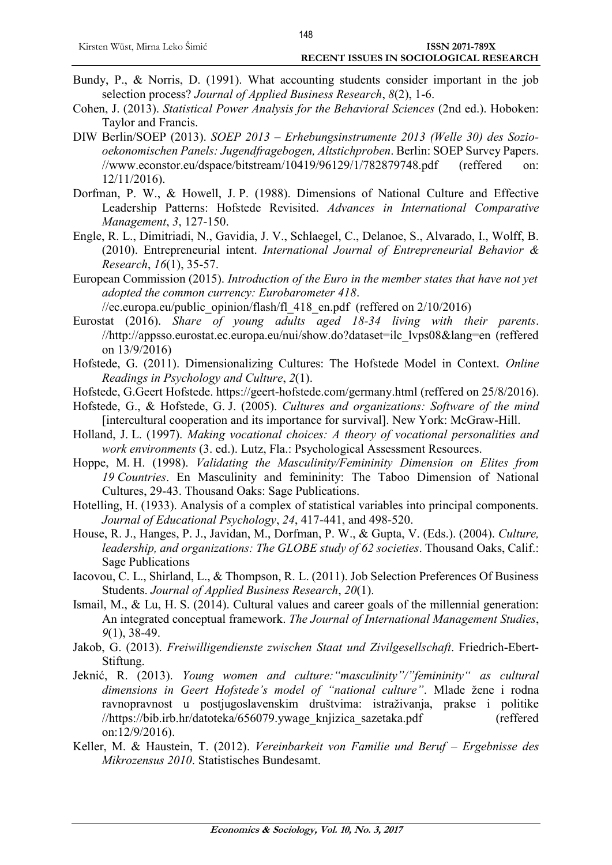- Bundy, P., & Norris, D. (1991). What accounting students consider important in the job selection process? *Journal of Applied Business Research*, *8*(2), 1-6.
- Cohen, J. (2013). *Statistical Power Analysis for the Behavioral Sciences* (2nd ed.). Hoboken: Taylor and Francis.
- DIW Berlin/SOEP (2013). *SOEP 2013 – Erhebungsinstrumente 2013 (Welle 30) des Soziooekonomischen Panels: Jugendfragebogen, Altstichproben*. Berlin: SOEP Survey Papers. //www.econstor.eu/dspace/bitstream/10419/96129/1/782879748.pdf (reffered on: 12/11/2016).
- Dorfman, P. W., & Howell, J. P. (1988). Dimensions of National Culture and Effective Leadership Patterns: Hofstede Revisited. *Advances in International Comparative Management*, *3*, 127-150.
- Engle, R. L., Dimitriadi, N., Gavidia, J. V., Schlaegel, C., Delanoe, S., Alvarado, I., Wolff, B. (2010). Entrepreneurial intent. *International Journal of Entrepreneurial Behavior & Research*, *16*(1), 35-57.
- European Commission (2015). *Introduction of the Euro in the member states that have not yet adopted the common currency: Eurobarometer 418*.

//ec.europa.eu/public\_opinion/flash/fl\_418\_en.pdf (reffered on  $2/10/2016$ )

- Eurostat (2016). *Share of young adults aged 18-34 living with their parents*. //http://appsso.eurostat.ec.europa.eu/nui/show.do?dataset=ilc\_lvps08&lang=en (reffered on 13/9/2016)
- Hofstede, G. (2011). Dimensionalizing Cultures: The Hofstede Model in Context. *Online Readings in Psychology and Culture*, *2*(1).
- Hofstede, G.Geert Hofstede.<https://geert-hofstede.com/germany.html> (reffered on 25/8/2016).
- Hofstede, G., & Hofstede, G. J. (2005). *Cultures and organizations: Software of the mind* [intercultural cooperation and its importance for survival]. New York: McGraw-Hill.
- Holland, J. L. (1997). *Making vocational choices: A theory of vocational personalities and work environments* (3. ed.). Lutz, Fla.: Psychological Assessment Resources.
- Hoppe, M. H. (1998). *Validating the Masculinity/Femininity Dimension on Elites from 19 Countries*. En Masculinity and femininity: The Taboo Dimension of National Cultures, 29-43. Thousand Oaks: Sage Publications.
- Hotelling, H. (1933). Analysis of a complex of statistical variables into principal components. *Journal of Educational Psychology*, *24*, 417-441, and 498-520.
- House, R. J., Hanges, P. J., Javidan, M., Dorfman, P. W., & Gupta, V. (Eds.). (2004). *Culture, leadership, and organizations: The GLOBE study of 62 societies*. Thousand Oaks, Calif.: Sage Publications
- Iacovou, C. L., Shirland, L., & Thompson, R. L. (2011). Job Selection Preferences Of Business Students. *Journal of Applied Business Research*, *20*(1).
- Ismail, M., & Lu, H. S. (2014). Cultural values and career goals of the millennial generation: An integrated conceptual framework. *The Journal of International Management Studies*, *9*(1), 38-49.
- Jakob, G. (2013). *Freiwilligendienste zwischen Staat und Zivilgesellschaft*. Friedrich-Ebert-Stiftung.
- Jeknić, R. (2013). *Young women and culture:"masculinity"/"femininity" as cultural dimensions in Geert Hofstede's model of "national culture"*. Mlade žene i rodna ravnopravnost u postjugoslavenskim društvima: istraživanja, prakse i politike //https://bib.irb.hr/datoteka/656079.ywage\_knjizica\_sazetaka.pdf (reffered on:12/9/2016).
- Keller, M. & Haustein, T. (2012). *Vereinbarkeit von Familie und Beruf – Ergebnisse des Mikrozensus 2010*. Statistisches Bundesamt.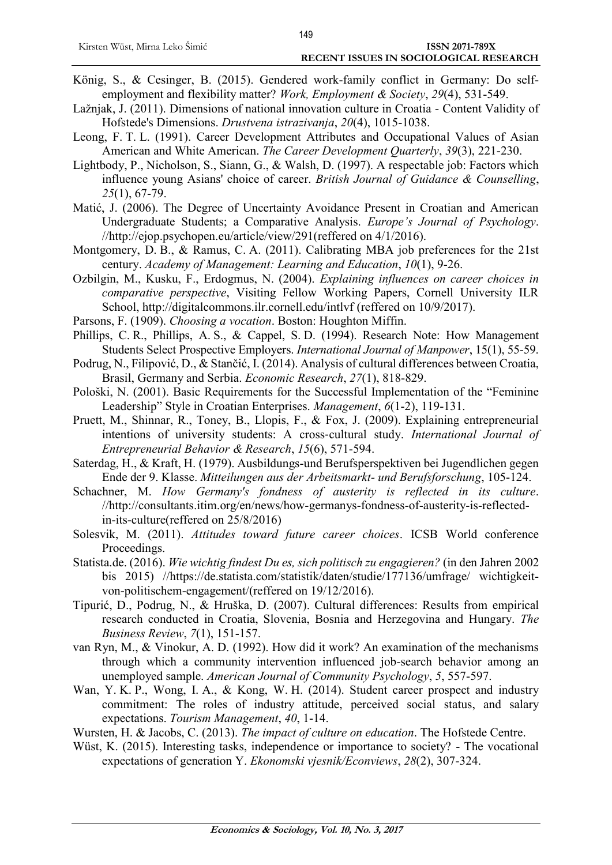- König, S., & Cesinger, B. (2015). Gendered work-family conflict in Germany: Do selfemployment and flexibility matter? *Work, Employment & Society*, *29*(4), 531-549.
- Lažnjak, J. (2011). Dimensions of national innovation culture in Croatia Content Validity of Hofstede's Dimensions. *Drustvena istrazivanja*, *20*(4), 1015-1038.
- Leong, F. T. L. (1991). Career Development Attributes and Occupational Values of Asian American and White American. *The Career Development Quarterly*, *39*(3), 221-230.
- Lightbody, P., Nicholson, S., Siann, G., & Walsh, D. (1997). A respectable job: Factors which influence young Asians' choice of career. *British Journal of Guidance & Counselling*, *25*(1), 67-79.
- Matić, J. (2006). The Degree of Uncertainty Avoidance Present in Croatian and American Undergraduate Students; a Comparative Analysis. *Europe's Journal of Psychology*. //http://ejop.psychopen.eu/article/view/291(reffered on 4/1/2016).
- Montgomery, D. B., & Ramus, C. A. (2011). Calibrating MBA job preferences for the 21st century. *Academy of Management: Learning and Education*, *10*(1), 9-26.
- Ozbilgin, M., Kusku, F., Erdogmus, N. (2004). *Explaining influences on career choices in comparative perspective*, Visiting Fellow Working Papers, Cornell University ILR School,<http://digitalcommons.ilr.cornell.edu/intlvf> (reffered on 10/9/2017).
- Parsons, F. (1909). *Choosing a vocation*. Boston: Houghton Miffin.
- Phillips, C. R., Phillips, A. S., & Cappel, S. D. (1994). Research Note: How Management Students Select Prospective Employers. *International Journal of Manpower*, 15(1), 55-59.
- Podrug, N., Filipović, D., & Stančić, I. (2014). Analysis of cultural differences between Croatia, Brasil, Germany and Serbia. *Economic Research*, *27*(1), 818-829.
- Pološki, N. (2001). Basic Requirements for the Successful Implementation of the "Feminine Leadership" Style in Croatian Enterprises. *Management*, *6*(1-2), 119-131.
- Pruett, M., Shinnar, R., Toney, B., Llopis, F., & Fox, J. (2009). Explaining entrepreneurial intentions of university students: A cross‐cultural study. *International Journal of Entrepreneurial Behavior & Research*, *15*(6), 571-594.
- Saterdag, H., & Kraft, H. (1979). Ausbildungs-und Berufsperspektiven bei Jugendlichen gegen Ende der 9. Klasse. *Mitteilungen aus der Arbeitsmarkt- und Berufsforschung*, 105-124.
- Schachner, M. *How Germany's fondness of austerity is reflected in its culture*. //http://consultants.itim.org/en/news/how-germanys-fondness-of-austerity-is-reflectedin-its-culture(reffered on 25/8/2016)
- Solesvik, M. (2011). *Attitudes toward future career choices*. ICSB World conference Proceedings.
- Statista.de. (2016). *Wie wichtig findest Du es, sich politisch zu engagieren?* (in den Jahren 2002 bis 2015) //https://de.statista.com/statistik/daten/studie/177136/umfrage/ wichtigkeitvon-politischem-engagement/(reffered on 19/12/2016).
- Tipurić, D., Podrug, N., & Hruška, D. (2007). Cultural differences: Results from empirical research conducted in Croatia, Slovenia, Bosnia and Herzegovina and Hungary. *The Business Review*, *7*(1), 151-157.
- van Ryn, M., & Vinokur, A. D. (1992). How did it work? An examination of the mechanisms through which a community intervention influenced job-search behavior among an unemployed sample. *American Journal of Community Psychology*, *5*, 557-597.
- Wan, Y. K. P., Wong, I. A., & Kong, W. H. (2014). Student career prospect and industry commitment: The roles of industry attitude, perceived social status, and salary expectations. *Tourism Management*, *40*, 1-14.
- Wursten, H. & Jacobs, C. (2013). *The impact of culture on education*. The Hofstede Centre.
- Wüst, K. (2015). Interesting tasks, independence or importance to society? The vocational expectations of generation Y. *Ekonomski vjesnik/Econviews*, *28*(2), 307-324.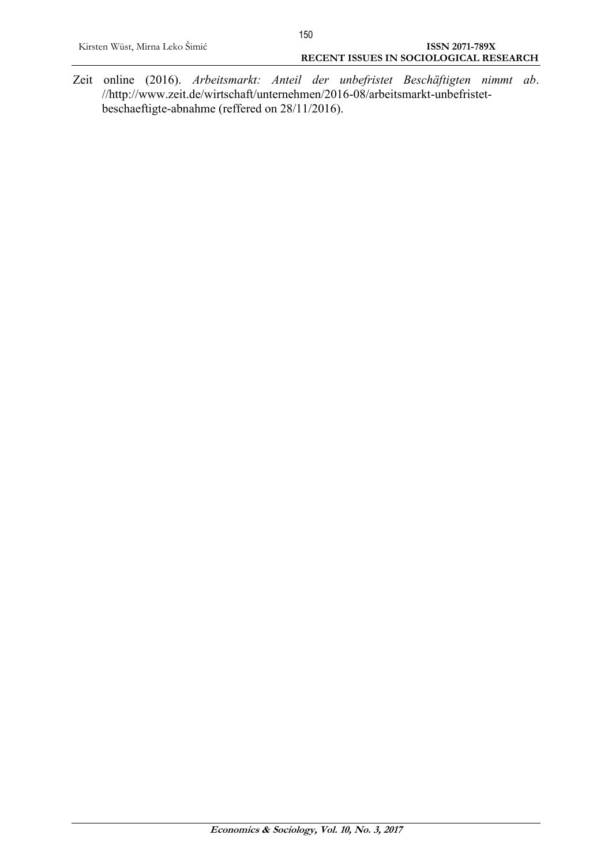Zeit online (2016). *Arbeitsmarkt: Anteil der unbefristet Beschäftigten nimmt ab*. //http://www.zeit.de/wirtschaft/unternehmen/2016-08/arbeitsmarkt-unbefristetbeschaeftigte-abnahme (reffered on 28/11/2016).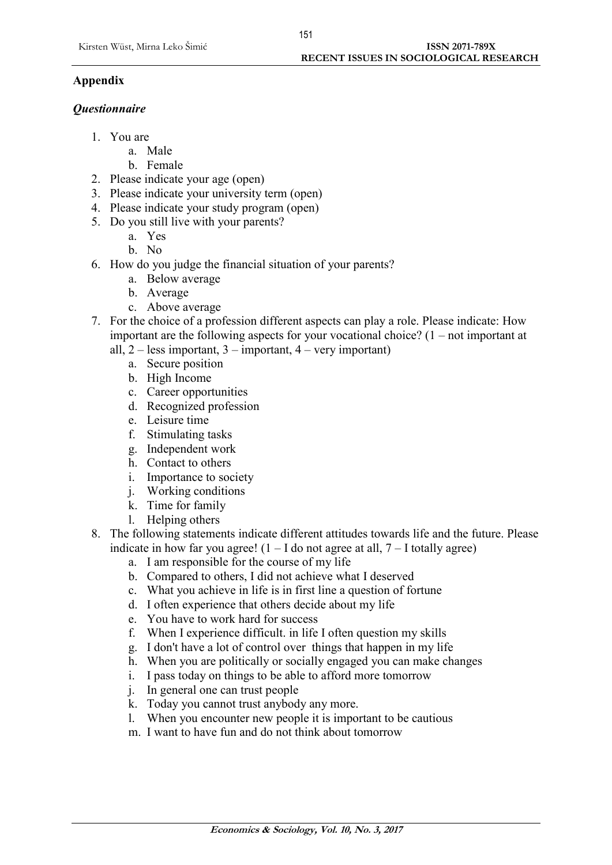# **Appendix**

## *Questionnaire*

- 1. You are
	- a. Male
	- b. Female
- 2. Please indicate your age (open)
- 3. Please indicate your university term (open)
- 4. Please indicate your study program (open)
- 5. Do you still live with your parents?
	- a. Yes
	- b. No
- 6. How do you judge the financial situation of your parents?
	- a. Below average
	- b. Average
	- c. Above average
- 7. For the choice of a profession different aspects can play a role. Please indicate: How important are the following aspects for your vocational choice? (1 – not important at
	- all,  $2 -$  less important,  $3 -$  important,  $4 -$  very important)
		- a. Secure position
		- b. High Income
		- c. Career opportunities
		- d. Recognized profession
		- e. Leisure time
		- f. Stimulating tasks
		- g. Independent work
		- h. Contact to others
		- i. Importance to society
		- j. Working conditions
		- k. Time for family
		- l. Helping others
- 8. The following statements indicate different attitudes towards life and the future. Please indicate in how far you agree!  $(1 - I$  do not agree at all,  $7 - I$  totally agree)
	- a. I am responsible for the course of my life
	- b. Compared to others, I did not achieve what I deserved
	- c. What you achieve in life is in first line a question of fortune
	- d. I often experience that others decide about my life
	- e. You have to work hard for success
	- f. When I experience difficult. in life I often question my skills
	- g. I don't have a lot of control over things that happen in my life
	- h. When you are politically or socially engaged you can make changes
	- i. I pass today on things to be able to afford more tomorrow
	- j. In general one can trust people
	- k. Today you cannot trust anybody any more.
	- l. When you encounter new people it is important to be cautious
	- m. I want to have fun and do not think about tomorrow